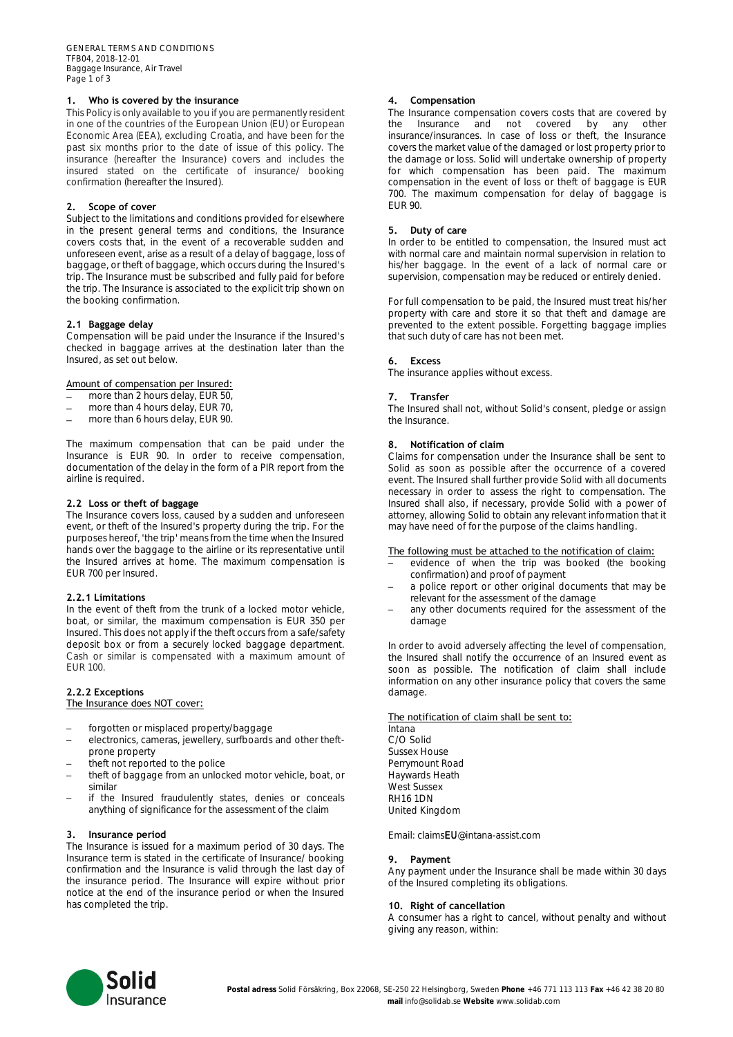# **1. Who is covered by the insurance**

This Policy is only available to you if you are permanently resident in one of the countries of the European Union (EU) or European Economic Area (EEA), excluding Croatia, and have been for the past six months prior to the date of issue of this policy. The insurance (hereafter the Insurance) covers and includes the insured stated on the certificate of insurance/ booking confirmation (hereafter the Insured).

#### **2. Scope of cover**

Subject to the limitations and conditions provided for elsewhere in the present general terms and conditions, the Insurance covers costs that, in the event of a recoverable sudden and unforeseen event, arise as a result of a delay of baggage, loss of baggage, or theft of baggage, which occurs during the Insured's trip. The Insurance must be subscribed and fully paid for before the trip. The Insurance is associated to the explicit trip shown on the booking confirmation.

## **2.1 Baggage delay**

Compensation will be paid under the Insurance if the Insured's checked in baggage arrives at the destination later than the Insured, as set out below.

#### Amount of compensation per Insured:

- more than 2 hours delay, EUR 50,
- more than 4 hours delay, EUR 70,
- more than 6 hours delay, EUR 90.

The maximum compensation that can be paid under the Insurance is EUR 90. In order to receive compensation, documentation of the delay in the form of a PIR report from the airline is required.

#### **2.2 Loss or theft of baggage**

The Insurance covers loss, caused by a sudden and unforeseen event, or theft of the Insured's property during the trip. For the purposes hereof, 'the trip' means from the time when the Insured hands over the baggage to the airline or its representative until the Insured arrives at home. The maximum compensation is EUR 700 per Insured.

#### **2.2.1 Limitations**

In the event of theft from the trunk of a locked motor vehicle, boat, or similar, the maximum compensation is EUR 350 per Insured. This does not apply if the theft occurs from a safe/safety deposit box or from a securely locked baggage department. Cash or similar is compensated with a maximum amount of EUR 100.

#### **2.2.2 Exceptions** The Insurance does NOT cover:

- forgotten or misplaced property/baggage
- electronics, cameras, jewellery, surfboards and other theftprone property
- theft not reported to the police
- theft of baggage from an unlocked motor vehicle, boat, or similar
- if the Insured fraudulently states, denies or conceals anything of significance for the assessment of the claim

## **3. Insurance period**

The Insurance is issued for a maximum period of 30 days. The Insurance term is stated in the certificate of Insurance/ booking confirmation and the Insurance is valid through the last day of the insurance period. The Insurance will expire without prior notice at the end of the insurance period or when the Insured has completed the trip.

## **4. Compensation**

The Insurance compensation covers costs that are covered by the Insurance and not covered by any other insurance/insurances. In case of loss or theft, the Insurance covers the market value of the damaged or lost property prior to the damage or loss. Solid will undertake ownership of property for which compensation has been paid. The maximum compensation in the event of loss or theft of baggage is EUR 700. The maximum compensation for delay of baggage is EUR 90.

#### **5. Duty of care**

In order to be entitled to compensation, the Insured must act with normal care and maintain normal supervision in relation to his/her baggage. In the event of a lack of normal care or supervision, compensation may be reduced or entirely denied.

For full compensation to be paid, the Insured must treat his/her property with care and store it so that theft and damage are prevented to the extent possible. Forgetting baggage implies that such duty of care has not been met.

#### **6. Excess**

The insurance applies without excess.

#### **7. Transfer**

The Insured shall not, without Solid's consent, pledge or assign the Insurance.

#### **8. Notification of claim**

Claims for compensation under the Insurance shall be sent to Solid as soon as possible after the occurrence of a covered event. The Insured shall further provide Solid with all documents necessary in order to assess the right to compensation. The Insured shall also, if necessary, provide Solid with a power of attorney, allowing Solid to obtain any relevant information that it may have need of for the purpose of the claims handling.

## The following must be attached to the notification of claim:

- evidence of when the trip was booked (the booking confirmation) and proof of payment
- a police report or other original documents that may be relevant for the assessment of the damage
- any other documents required for the assessment of the damage

In order to avoid adversely affecting the level of compensation, the Insured shall notify the occurrence of an Insured event as soon as possible. The notification of claim shall include information on any other insurance policy that covers the same damage.

## The notification of claim shall be sent to:

Intana C/O Solid Sussex House Perrymount Road Haywards Heath West Sussex RH16 1DN United Kingdom

Email: claimsEU@intana-assist.com

#### **9. Payment**

Any payment under the Insurance shall be made within 30 days of the Insured completing its obligations.

#### **10. Right of cancellation**

A consumer has a right to cancel, without penalty and without giving any reason, within:

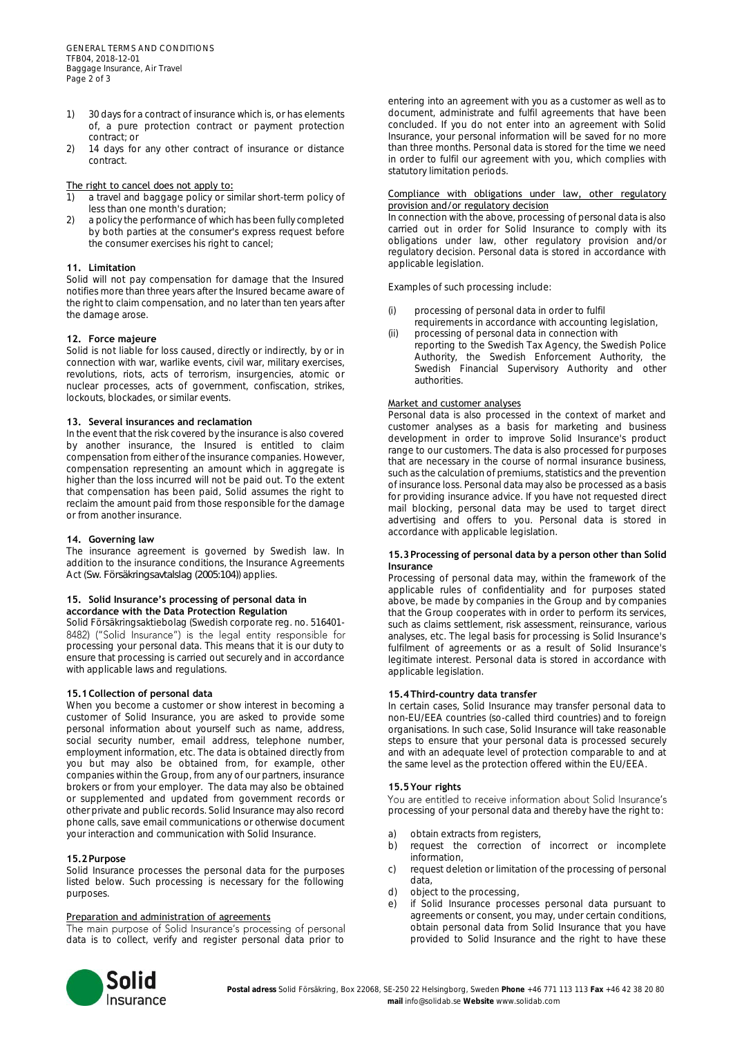GENERAL TERMS AND CONDITIONS TFB04, 2018-12-01 Baggage Insurance, Air Travel Page 2 of 3

- 1) 30 days for a contract of insurance which is, or has elements of, a pure protection contract or payment protection contract; or
- 2) 14 days for any other contract of insurance or distance contract.

# The right to cancel does not apply to:

- 1) a travel and baggage policy or similar short-term policy of less than one month's duration;
- 2) a policy the performance of which has been fully completed by both parties at the consumer's express request before the consumer exercises his right to cancel;

# **11. Limitation**

Solid will not pay compensation for damage that the Insured notifies more than three years after the Insured became aware of the right to claim compensation, and no later than ten years after the damage arose.

# **12. Force majeure**

Solid is not liable for loss caused, directly or indirectly, by or in connection with war, warlike events, civil war, military exercises, revolutions, riots, acts of terrorism, insurgencies, atomic or nuclear processes, acts of government, confiscation, strikes, lockouts, blockades, or similar events.

## **13. Several insurances and reclamation**

In the event that the risk covered by the insurance is also covered by another insurance, the Insured is entitled to claim compensation from either of the insurance companies. However, compensation representing an amount which in aggregate is higher than the loss incurred will not be paid out. To the extent that compensation has been paid, Solid assumes the right to reclaim the amount paid from those responsible for the damage or from another insurance.

## **14. Governing law**

The insurance agreement is governed by Swedish law. In addition to the insurance conditions, the Insurance Agreements Act (*Sw. Försäkringsavtalslag (2005:104)*) applies.

#### **15. Solid Insurance's processing of personal data in accordance with the Data Protection Regulation**

Solid Försäkringsaktiebolag (Swedish corporate reg. no. 516401 processing your personal data. This means that it is our duty to ensure that processing is carried out securely and in accordance with applicable laws and regulations.

## **15.1Collection of personal data**

When you become a customer or show interest in becoming a customer of Solid Insurance, you are asked to provide some personal information about yourself such as name, address, social security number, email address, telephone number, employment information, etc. The data is obtained directly from you but may also be obtained from, for example, other companies within the Group, from any of our partners, insurance brokers or from your employer. The data may also be obtained or supplemented and updated from government records or other private and public records. Solid Insurance may also record phone calls, save email communications or otherwise document your interaction and communication with Solid Insurance.

# **15.2Purpose**

Solid Insurance processes the personal data for the purposes listed below. Such processing is necessary for the following purposes.

## Preparation and administration of agreements

The main purpose of Solid Insurance's processing of personal data is to collect, verify and register personal data prior to

entering into an agreement with you as a customer as well as to document, administrate and fulfil agreements that have been concluded. If you do not enter into an agreement with Solid Insurance, your personal information will be saved for no more than three months. Personal data is stored for the time we need in order to fulfil our agreement with you, which complies with statutory limitation periods.

#### Compliance with obligations under law, other regulatory provision and/or regulatory decision

In connection with the above, processing of personal data is also carried out in order for Solid Insurance to comply with its obligations under law, other regulatory provision and/or regulatory decision. Personal data is stored in accordance with applicable legislation.

Examples of such processing include:

- processing of personal data in order to fulfil
- requirements in accordance with accounting legislation, (ii) processing of personal data in connection with
- reporting to the Swedish Tax Agency, the Swedish Police Authority, the Swedish Enforcement Authority, the Swedish Financial Supervisory Authority and other authorities.

# Market and customer analyses

Personal data is also processed in the context of market and customer analyses as a basis for marketing and business development in order to improve Solid Insurance's product range to our customers. The data is also processed for purposes that are necessary in the course of normal insurance business, such as the calculation of premiums, statistics and the prevention of insurance loss. Personal data may also be processed as a basis for providing insurance advice. If you have not requested direct mail blocking, personal data may be used to target direct advertising and offers to you. Personal data is stored in accordance with applicable legislation.

# **15.3Processing of personal data by a person other than Solid Insurance**

Processing of personal data may, within the framework of the applicable rules of confidentiality and for purposes stated above, be made by companies in the Group and by companies that the Group cooperates with in order to perform its services, such as claims settlement, risk assessment, reinsurance, various analyses, etc. The legal basis for processing is Solid Insurance's fulfilment of agreements or as a result of Solid Insurance's legitimate interest. Personal data is stored in accordance with applicable legislation.

## **15.4Third-country data transfer**

In certain cases, Solid Insurance may transfer personal data to non-EU/EEA countries (so-called third countries) and to foreign organisations. In such case, Solid Insurance will take reasonable steps to ensure that your personal data is processed securely and with an adequate level of protection comparable to and at the same level as the protection offered within the EU/EEA.

## **15.5Your rights**

You are entitled to receive information about Solid Insurance's processing of your personal data and thereby have the right to:

- a) obtain extracts from registers,
- b) request the correction of incorrect or incomplete information,
- c) request deletion or limitation of the processing of personal data,
- d) object to the processing,
- e) if Solid Insurance processes personal data pursuant to agreements or consent, you may, under certain conditions, obtain personal data from Solid Insurance that you have provided to Solid Insurance and the right to have these